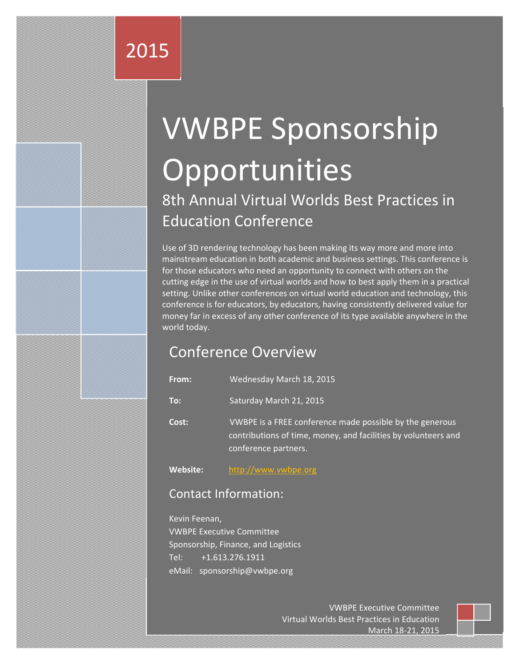## 2015

# VWBPE Sponsorship **Opportunities** 8th Annual Virtual Worlds Best Practices in Education Conference

Use of 3D rendering technology has been making its way more and more into mainstream education in both academic and business settings. This conference is for those educators who need an opportunity to connect with others on the cutting edge in the use of virtual worlds and how to best apply them in a practical setting. Unlike other conferences on virtual world education and technology, this conference is for educators, by educators, having consistently delivered value for money far in excess of any other conference of its type available anywhere in the world today.

### Conference Overview

| From:    | Wednesday March 18, 2015                                                                                                                           |
|----------|----------------------------------------------------------------------------------------------------------------------------------------------------|
| To:      | Saturday March 21, 2015                                                                                                                            |
| Cost:    | VWBPE is a FREE conference made possible by the generous<br>contributions of time, money, and facilities by volunteers and<br>conference partners. |
| Website: | http://www.ywbpe.org                                                                                                                               |

#### Contact Information:

Kevin Feenan, VWBPE Executive Committee Sponsorship, Finance, and Logistics Tel: +1.613.276.1911 eMail: sponsorship@vwbpe.org

> VWBPE Executive Committee Virtual Worlds Best Practices in Education March 18‐21, 2015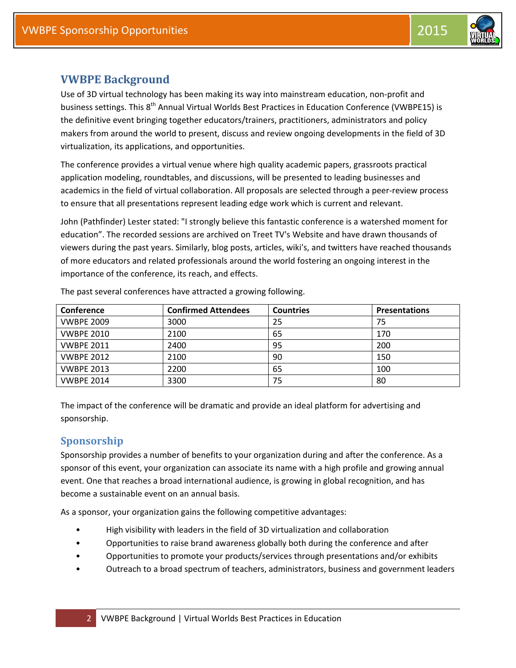

#### **VWBPE Background**

Use of 3D virtual technology has been making its way into mainstream education, non‐profit and business settings. This 8<sup>th</sup> Annual Virtual Worlds Best Practices in Education Conference (VWBPE15) is the definitive event bringing together educators/trainers, practitioners, administrators and policy makers from around the world to present, discuss and review ongoing developments in the field of 3D virtualization, its applications, and opportunities.

The conference provides a virtual venue where high quality academic papers, grassroots practical application modeling, roundtables, and discussions, will be presented to leading businesses and academics in the field of virtual collaboration. All proposals are selected through a peer-review process to ensure that all presentations represent leading edge work which is current and relevant.

John (Pathfinder) Lester stated: "I strongly believe this fantastic conference is a watershed moment for education". The recorded sessions are archived on Treet TV's Website and have drawn thousands of viewers during the past years. Similarly, blog posts, articles, wiki's, and twitters have reached thousands of more educators and related professionals around the world fostering an ongoing interest in the importance of the conference, its reach, and effects.

| Conference        | <b>Confirmed Attendees</b> | <b>Countries</b> | <b>Presentations</b> |
|-------------------|----------------------------|------------------|----------------------|
| <b>VWBPE 2009</b> | 3000                       | 25               | 75                   |
| <b>VWBPE 2010</b> | 2100                       | 65               | 170                  |
| <b>VWBPE 2011</b> | 2400                       | 95               | 200                  |
| <b>VWBPE 2012</b> | 2100                       | 90               | 150                  |
| <b>VWBPE 2013</b> | 2200                       | 65               | 100                  |
| <b>VWBPE 2014</b> | 3300                       | 75               | 80                   |

The past several conferences have attracted a growing following.

The impact of the conference will be dramatic and provide an ideal platform for advertising and sponsorship.

#### **Sponsorship**

Sponsorship provides a number of benefits to your organization during and after the conference. As a sponsor of this event, your organization can associate its name with a high profile and growing annual event. One that reaches a broad international audience, is growing in global recognition, and has become a sustainable event on an annual basis.

As a sponsor, your organization gains the following competitive advantages:

- High visibility with leaders in the field of 3D virtualization and collaboration
- Opportunities to raise brand awareness globally both during the conference and after
- Opportunities to promote your products/services through presentations and/or exhibits
- Outreach to a broad spectrum of teachers, administrators, business and government leaders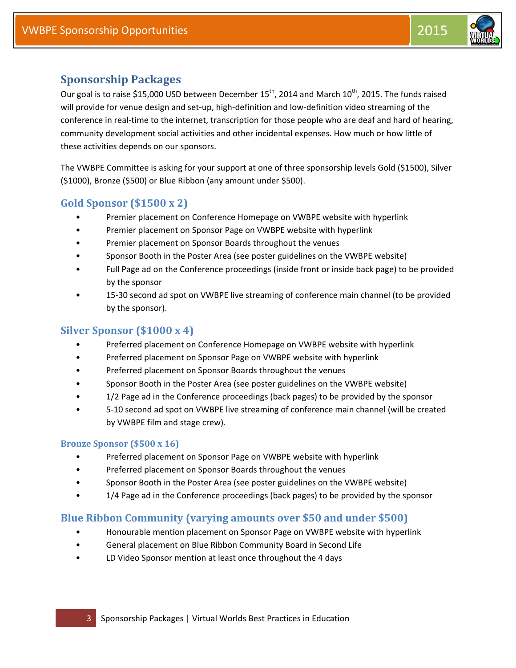

#### **Sponsorship Packages**

Our goal is to raise \$15,000 USD between December  $15^{th}$ , 2014 and March  $10^{th}$ , 2015. The funds raised will provide for venue design and set-up, high-definition and low-definition video streaming of the conference in real-time to the internet, transcription for those people who are deaf and hard of hearing, community development social activities and other incidental expenses. How much or how little of these activities depends on our sponsors.

The VWBPE Committee is asking for your support at one of three sponsorship levels Gold (\$1500), Silver (\$1000), Bronze (\$500) or Blue Ribbon (any amount under \$500).

#### **Gold Sponsor (\$1500 x 2)**

- Premier placement on Conference Homepage on VWBPE website with hyperlink
- Premier placement on Sponsor Page on VWBPE website with hyperlink
- Premier placement on Sponsor Boards throughout the venues
- Sponsor Booth in the Poster Area (see poster guidelines on the VWBPE website)
- Full Page ad on the Conference proceedings (inside front or inside back page) to be provided by the sponsor
- 15-30 second ad spot on VWBPE live streaming of conference main channel (to be provided by the sponsor).

#### **Silver Sponsor (\$1000 x 4)**

- Preferred placement on Conference Homepage on VWBPE website with hyperlink
- Preferred placement on Sponsor Page on VWBPE website with hyperlink
- Preferred placement on Sponsor Boards throughout the venues
- Sponsor Booth in the Poster Area (see poster guidelines on the VWBPE website)
- 1/2 Page ad in the Conference proceedings (back pages) to be provided by the sponsor
- 5-10 second ad spot on VWBPE live streaming of conference main channel (will be created by VWBPE film and stage crew).

#### **Bronze Sponsor (\$500 x 16)**

- Preferred placement on Sponsor Page on VWBPE website with hyperlink
- Preferred placement on Sponsor Boards throughout the venues
- Sponsor Booth in the Poster Area (see poster guidelines on the VWBPE website)
- 1/4 Page ad in the Conference proceedings (back pages) to be provided by the sponsor

#### **Blue Ribbon Community (varying amounts over \$50 and under \$500)**

- Honourable mention placement on Sponsor Page on VWBPE website with hyperlink
- General placement on Blue Ribbon Community Board in Second Life
- LD Video Sponsor mention at least once throughout the 4 days